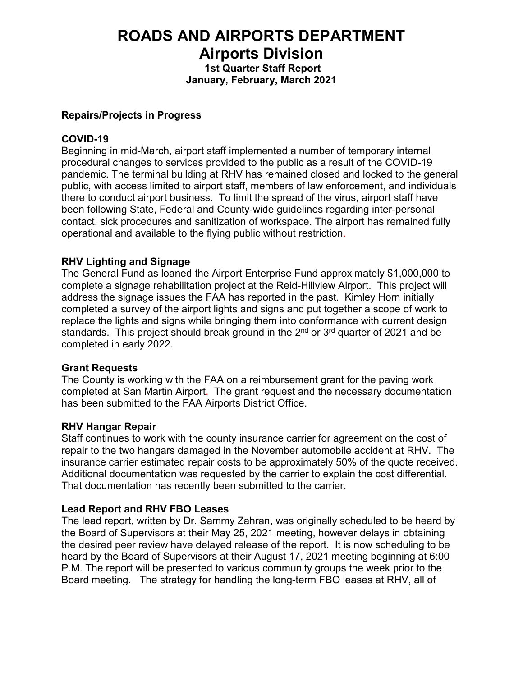# **ROADS AND AIRPORTS DEPARTMENT Airports Division**

**1st Quarter Staff Report**

**January, February, March 2021**

# **Repairs/Projects in Progress**

# **COVID-19**

Beginning in mid-March, airport staff implemented a number of temporary internal procedural changes to services provided to the public as a result of the COVID-19 pandemic. The terminal building at RHV has remained closed and locked to the general public, with access limited to airport staff, members of law enforcement, and individuals there to conduct airport business. To limit the spread of the virus, airport staff have been following State, Federal and County-wide guidelines regarding inter-personal contact, sick procedures and sanitization of workspace. The airport has remained fully operational and available to the flying public without restriction.

# **RHV Lighting and Signage**

The General Fund as loaned the Airport Enterprise Fund approximately \$1,000,000 to complete a signage rehabilitation project at the Reid-Hillview Airport. This project will address the signage issues the FAA has reported in the past. Kimley Horn initially completed a survey of the airport lights and signs and put together a scope of work to replace the lights and signs while bringing them into conformance with current design standards. This project should break ground in the  $2<sup>nd</sup>$  or  $3<sup>rd</sup>$  quarter of 2021 and be completed in early 2022.

## **Grant Requests**

The County is working with the FAA on a reimbursement grant for the paving work completed at San Martin Airport. The grant request and the necessary documentation has been submitted to the FAA Airports District Office.

## **RHV Hangar Repair**

Staff continues to work with the county insurance carrier for agreement on the cost of repair to the two hangars damaged in the November automobile accident at RHV. The insurance carrier estimated repair costs to be approximately 50% of the quote received. Additional documentation was requested by the carrier to explain the cost differential. That documentation has recently been submitted to the carrier.

## **Lead Report and RHV FBO Leases**

The lead report, written by Dr. Sammy Zahran, was originally scheduled to be heard by the Board of Supervisors at their May 25, 2021 meeting, however delays in obtaining the desired peer review have delayed release of the report. It is now scheduling to be heard by the Board of Supervisors at their August 17, 2021 meeting beginning at 6:00 P.M. The report will be presented to various community groups the week prior to the Board meeting. The strategy for handling the long-term FBO leases at RHV, all of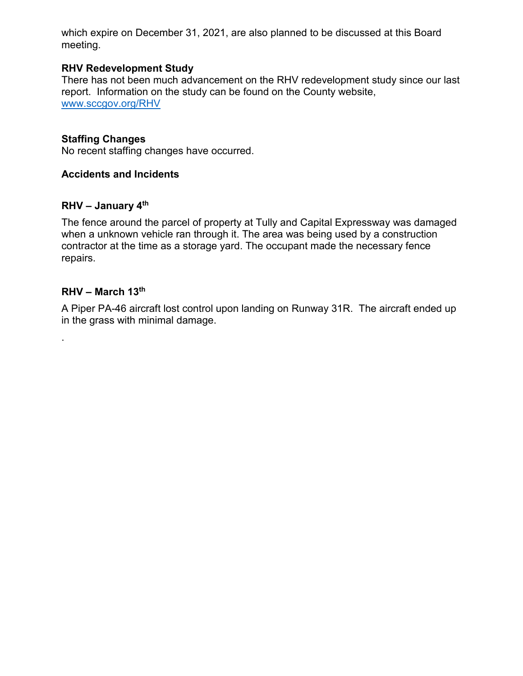which expire on December 31, 2021, are also planned to be discussed at this Board meeting.

# **RHV Redevelopment Study**

There has not been much advancement on the RHV redevelopment study since our last report. Information on the study can be found on the County website, [www.sccgov.org/RHV](http://www.sccgov.org/RHV)

## **Staffing Changes**

No recent staffing changes have occurred.

# **Accidents and Incidents**

## **RHV – January 4th**

The fence around the parcel of property at Tully and Capital Expressway was damaged when a unknown vehicle ran through it. The area was being used by a construction contractor at the time as a storage yard. The occupant made the necessary fence repairs.

#### **RHV – March 13th**

.

A Piper PA-46 aircraft lost control upon landing on Runway 31R. The aircraft ended up in the grass with minimal damage.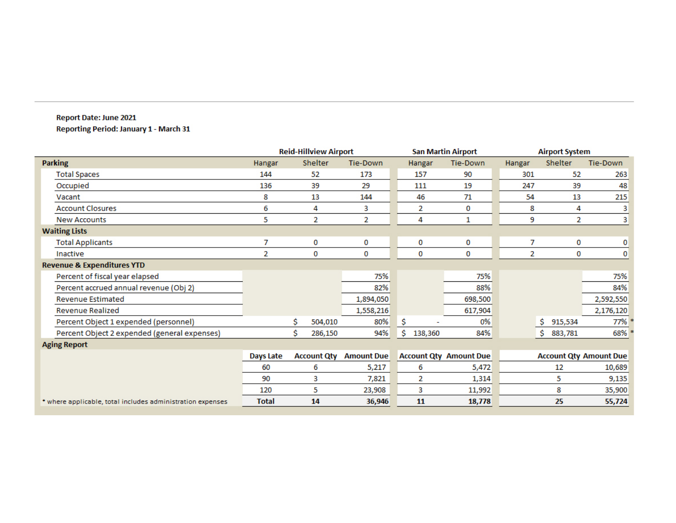#### Report Date: June 2021 **Reporting Period: January 1 - March 31**

|                                                            | <b>Reid-Hillview Airport</b> |                    |         |                   |                               |         | <b>San Martin Airport</b>     | <b>Airport System</b> |                |           |
|------------------------------------------------------------|------------------------------|--------------------|---------|-------------------|-------------------------------|---------|-------------------------------|-----------------------|----------------|-----------|
| <b>Parking</b>                                             | Hangar                       |                    | Shelter | <b>Tie-Down</b>   |                               | Hangar  | <b>Tie-Down</b>               | Hangar                | <b>Shelter</b> | Tie-Down  |
| <b>Total Spaces</b>                                        | 144                          |                    | 52      | 173               |                               | 157     | 90                            | 301                   | 52             | 263       |
| Occupied                                                   | 136                          |                    | 39      | 29                |                               | 111     | 19                            | 247                   | 39             | 48        |
| Vacant                                                     | 8                            |                    | 13      | 144               |                               | 46      | 71                            | 54                    | 13             | 215       |
| <b>Account Closures</b>                                    | 6                            |                    | 4       | 3                 |                               | 2       | 0                             | 8                     | 4              | 3         |
| <b>New Accounts</b>                                        | 5                            |                    | 2       | 2                 |                               | 4       | 1                             | 9                     | 2              | 3         |
| <b>Waiting Lists</b>                                       |                              |                    |         |                   |                               |         |                               |                       |                |           |
| <b>Total Applicants</b>                                    | 7                            |                    | 0       | 0                 |                               | 0       | 0                             | 7                     | 0              | 0         |
| Inactive                                                   | 2                            |                    | 0       | 0                 |                               | 0       | 0                             | 2                     | 0              | 0         |
| <b>Revenue &amp; Expenditures YTD</b>                      |                              |                    |         |                   |                               |         |                               |                       |                |           |
| Percent of fiscal year elapsed                             |                              |                    |         | 75%               |                               |         | 75%                           |                       |                | 75%       |
| Percent accrued annual revenue (Obj 2)                     |                              |                    |         | 82%               |                               |         | 88%                           |                       |                | 84%       |
| <b>Revenue Estimated</b>                                   |                              |                    |         | 1,894,050         |                               |         | 698,500                       |                       |                | 2,592,550 |
| <b>Revenue Realized</b>                                    |                              |                    |         | 1,558,216         |                               |         | 617,904                       |                       |                | 2,176,120 |
| Percent Object 1 expended (personnel)                      |                              | \$                 | 504,010 | 80%               | \$                            |         | 0%                            |                       | Ŝ.<br>915,534  | 77%       |
| Percent Object 2 expended (general expenses)               |                              | Ś                  | 286,150 | 94%               | \$                            | 138,360 | 84%                           |                       | \$<br>883,781  | 68%       |
| <b>Aging Report</b>                                        |                              |                    |         |                   |                               |         |                               |                       |                |           |
|                                                            | Days Late                    | <b>Account Qty</b> |         | <b>Amount Due</b> | <b>Account Qty Amount Due</b> |         | <b>Account Qty Amount Due</b> |                       |                |           |
|                                                            | 60                           | 6                  |         | 5,217             | 6                             |         | 5,472                         |                       | 12             | 10,689    |
|                                                            | 90                           | 3                  |         | 7,821             | 2                             |         | 1,314                         |                       | 5              | 9,135     |
|                                                            | 120                          | 5                  |         | 23,908            | 3                             |         | 11,992                        |                       | 8              | 35,900    |
| * where applicable, total includes administration expenses | <b>Total</b>                 |                    | 14      | 36,946            |                               | 11      | 18,778                        |                       | 25             | 55,724    |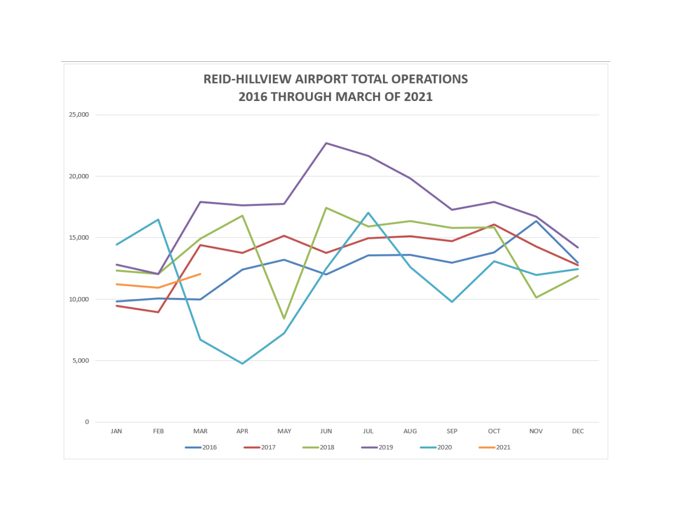